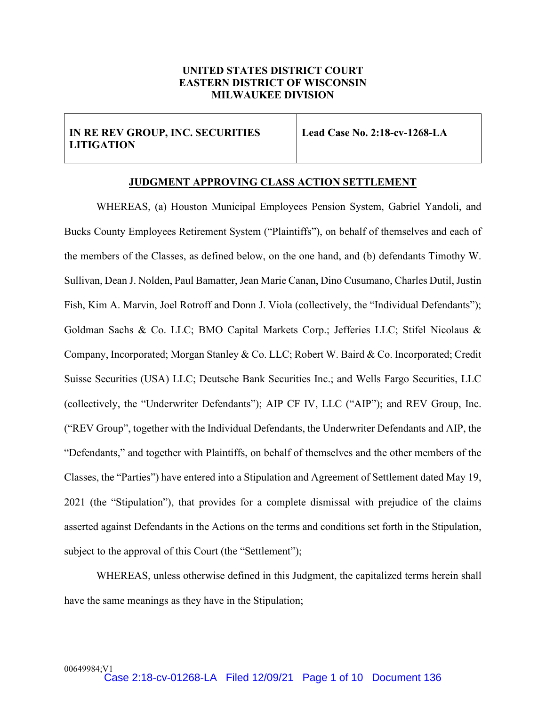## **UNITED STATES DISTRICT COURT EASTERN DISTRICT OF WISCONSIN MILWAUKEE DIVISION**

## **IN RE REV GROUP, INC. SECURITIES LITIGATION**

**Lead Case No. 2:18-cv-1268-LA**

## **JUDGMENT APPROVING CLASS ACTION SETTLEMENT**

WHEREAS, (a) Houston Municipal Employees Pension System, Gabriel Yandoli, and Bucks County Employees Retirement System ("Plaintiffs"), on behalf of themselves and each of the members of the Classes, as defined below, on the one hand, and (b) defendants Timothy W. Sullivan, Dean J. Nolden, Paul Bamatter, Jean Marie Canan, Dino Cusumano, Charles Dutil, Justin Fish, Kim A. Marvin, Joel Rotroff and Donn J. Viola (collectively, the "Individual Defendants"); Goldman Sachs & Co. LLC; BMO Capital Markets Corp.; Jefferies LLC; Stifel Nicolaus & Company, Incorporated; Morgan Stanley & Co. LLC; Robert W. Baird & Co. Incorporated; Credit Suisse Securities (USA) LLC; Deutsche Bank Securities Inc.; and Wells Fargo Securities, LLC (collectively, the "Underwriter Defendants"); AIP CF IV, LLC ("AIP"); and REV Group, Inc. ("REV Group", together with the Individual Defendants, the Underwriter Defendants and AIP, the "Defendants," and together with Plaintiffs, on behalf of themselves and the other members of the Classes, the "Parties") have entered into a Stipulation and Agreement of Settlement dated May 19, 2021 (the "Stipulation"), that provides for a complete dismissal with prejudice of the claims asserted against Defendants in the Actions on the terms and conditions set forth in the Stipulation, subject to the approval of this Court (the "Settlement");

WHEREAS, unless otherwise defined in this Judgment, the capitalized terms herein shall have the same meanings as they have in the Stipulation;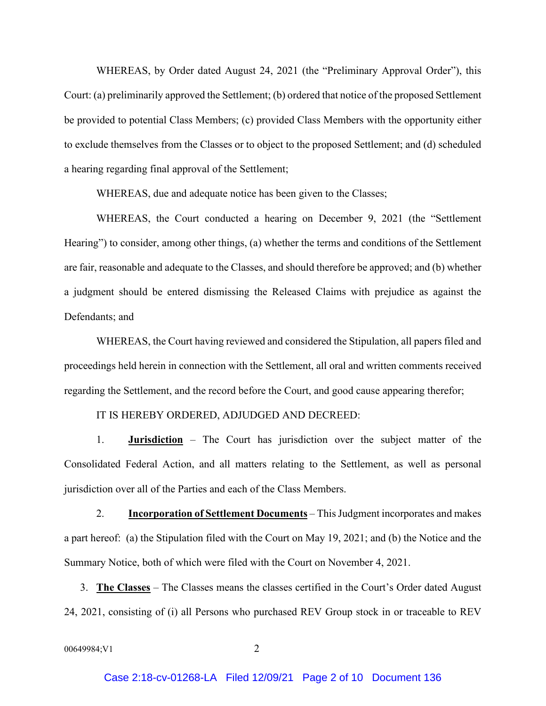WHEREAS, by Order dated August 24, 2021 (the "Preliminary Approval Order"), this Court: (a) preliminarily approved the Settlement; (b) ordered that notice of the proposed Settlement be provided to potential Class Members; (c) provided Class Members with the opportunity either to exclude themselves from the Classes or to object to the proposed Settlement; and (d) scheduled a hearing regarding final approval of the Settlement;

WHEREAS, due and adequate notice has been given to the Classes;

WHEREAS, the Court conducted a hearing on December 9, 2021 (the "Settlement Hearing") to consider, among other things, (a) whether the terms and conditions of the Settlement are fair, reasonable and adequate to the Classes, and should therefore be approved; and (b) whether a judgment should be entered dismissing the Released Claims with prejudice as against the Defendants; and

WHEREAS, the Court having reviewed and considered the Stipulation, all papers filed and proceedings held herein in connection with the Settlement, all oral and written comments received regarding the Settlement, and the record before the Court, and good cause appearing therefor;

## IT IS HEREBY ORDERED, ADJUDGED AND DECREED:

1. **Jurisdiction** – The Court has jurisdiction over the subject matter of the Consolidated Federal Action, and all matters relating to the Settlement, as well as personal jurisdiction over all of the Parties and each of the Class Members.

2. **Incorporation of Settlement Documents** – This Judgment incorporates and makes a part hereof: (a) the Stipulation filed with the Court on May 19, 2021; and (b) the Notice and the Summary Notice, both of which were filed with the Court on November 4, 2021.

3. **The Classes** – The Classes means the classes certified in the Court's Order dated August 24, 2021, consisting of (i) all Persons who purchased REV Group stock in or traceable to REV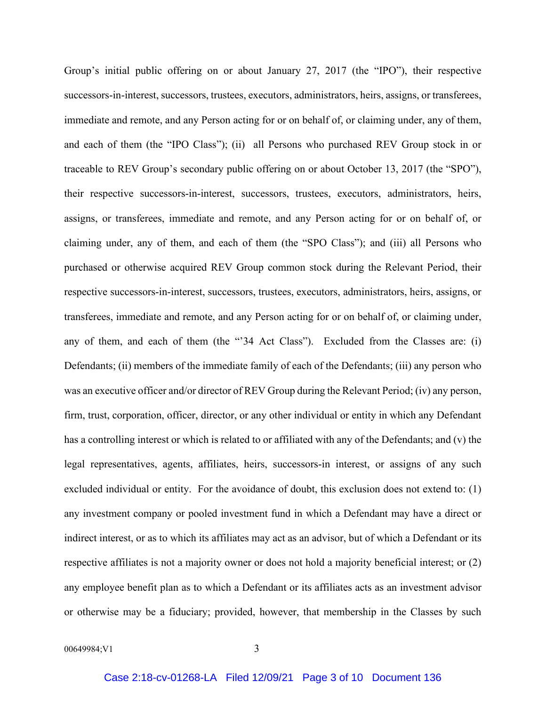Group's initial public offering on or about January 27, 2017 (the "IPO"), their respective successors-in-interest, successors, trustees, executors, administrators, heirs, assigns, or transferees, immediate and remote, and any Person acting for or on behalf of, or claiming under, any of them, and each of them (the "IPO Class"); (ii) all Persons who purchased REV Group stock in or traceable to REV Group's secondary public offering on or about October 13, 2017 (the "SPO"), their respective successors-in-interest, successors, trustees, executors, administrators, heirs, assigns, or transferees, immediate and remote, and any Person acting for or on behalf of, or claiming under, any of them, and each of them (the "SPO Class"); and (iii) all Persons who purchased or otherwise acquired REV Group common stock during the Relevant Period, their respective successors-in-interest, successors, trustees, executors, administrators, heirs, assigns, or transferees, immediate and remote, and any Person acting for or on behalf of, or claiming under, any of them, and each of them (the "'34 Act Class"). Excluded from the Classes are: (i) Defendants; (ii) members of the immediate family of each of the Defendants; (iii) any person who was an executive officer and/or director of REV Group during the Relevant Period; (iv) any person, firm, trust, corporation, officer, director, or any other individual or entity in which any Defendant has a controlling interest or which is related to or affiliated with any of the Defendants; and (v) the legal representatives, agents, affiliates, heirs, successors-in interest, or assigns of any such excluded individual or entity. For the avoidance of doubt, this exclusion does not extend to: (1) any investment company or pooled investment fund in which a Defendant may have a direct or indirect interest, or as to which its affiliates may act as an advisor, but of which a Defendant or its respective affiliates is not a majority owner or does not hold a majority beneficial interest; or (2) any employee benefit plan as to which a Defendant or its affiliates acts as an investment advisor or otherwise may be a fiduciary; provided, however, that membership in the Classes by such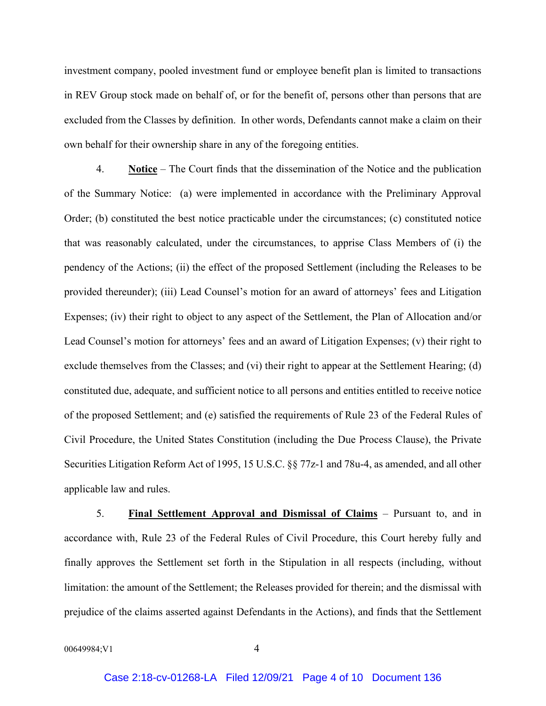investment company, pooled investment fund or employee benefit plan is limited to transactions in REV Group stock made on behalf of, or for the benefit of, persons other than persons that are excluded from the Classes by definition. In other words, Defendants cannot make a claim on their own behalf for their ownership share in any of the foregoing entities.

4. **Notice** – The Court finds that the dissemination of the Notice and the publication of the Summary Notice: (a) were implemented in accordance with the Preliminary Approval Order; (b) constituted the best notice practicable under the circumstances; (c) constituted notice that was reasonably calculated, under the circumstances, to apprise Class Members of (i) the pendency of the Actions; (ii) the effect of the proposed Settlement (including the Releases to be provided thereunder); (iii) Lead Counsel's motion for an award of attorneys' fees and Litigation Expenses; (iv) their right to object to any aspect of the Settlement, the Plan of Allocation and/or Lead Counsel's motion for attorneys' fees and an award of Litigation Expenses; (v) their right to exclude themselves from the Classes; and (vi) their right to appear at the Settlement Hearing; (d) constituted due, adequate, and sufficient notice to all persons and entities entitled to receive notice of the proposed Settlement; and (e) satisfied the requirements of Rule 23 of the Federal Rules of Civil Procedure, the United States Constitution (including the Due Process Clause), the Private Securities Litigation Reform Act of 1995, 15 U.S.C. §§ 77z-1 and 78u-4, as amended, and all other applicable law and rules.

5. **Final Settlement Approval and Dismissal of Claims** – Pursuant to, and in accordance with, Rule 23 of the Federal Rules of Civil Procedure, this Court hereby fully and finally approves the Settlement set forth in the Stipulation in all respects (including, without limitation: the amount of the Settlement; the Releases provided for therein; and the dismissal with prejudice of the claims asserted against Defendants in the Actions), and finds that the Settlement

00649984;V1 4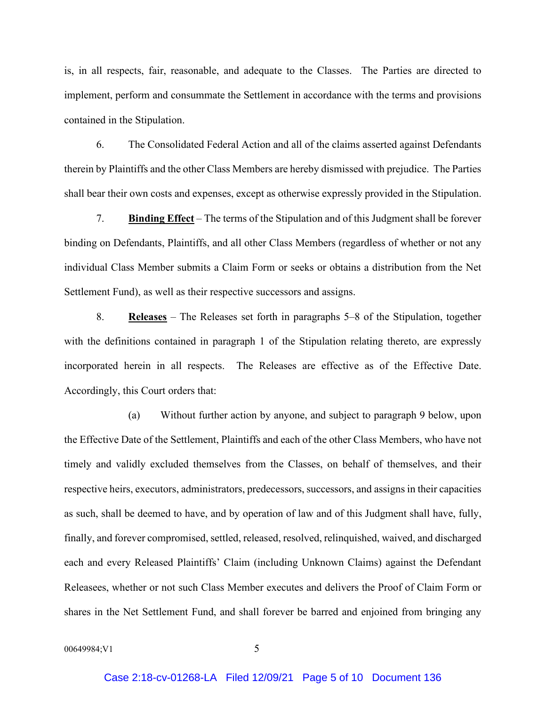is, in all respects, fair, reasonable, and adequate to the Classes. The Parties are directed to implement, perform and consummate the Settlement in accordance with the terms and provisions contained in the Stipulation.

6. The Consolidated Federal Action and all of the claims asserted against Defendants therein by Plaintiffs and the other Class Members are hereby dismissed with prejudice. The Parties shall bear their own costs and expenses, except as otherwise expressly provided in the Stipulation.

7. **Binding Effect** – The terms of the Stipulation and of this Judgment shall be forever binding on Defendants, Plaintiffs, and all other Class Members (regardless of whether or not any individual Class Member submits a Claim Form or seeks or obtains a distribution from the Net Settlement Fund), as well as their respective successors and assigns.

8. **Releases** – The Releases set forth in paragraphs 5–8 of the Stipulation, together with the definitions contained in paragraph 1 of the Stipulation relating thereto, are expressly incorporated herein in all respects. The Releases are effective as of the Effective Date. Accordingly, this Court orders that:

(a) Without further action by anyone, and subject to paragraph 9 below, upon the Effective Date of the Settlement, Plaintiffs and each of the other Class Members, who have not timely and validly excluded themselves from the Classes, on behalf of themselves, and their respective heirs, executors, administrators, predecessors, successors, and assigns in their capacities as such, shall be deemed to have, and by operation of law and of this Judgment shall have, fully, finally, and forever compromised, settled, released, resolved, relinquished, waived, and discharged each and every Released Plaintiffs' Claim (including Unknown Claims) against the Defendant Releasees, whether or not such Class Member executes and delivers the Proof of Claim Form or shares in the Net Settlement Fund, and shall forever be barred and enjoined from bringing any

00649984:V1 5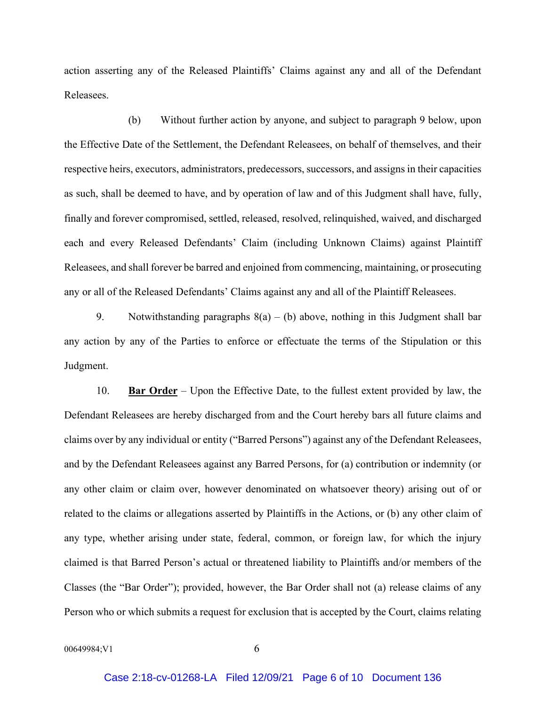action asserting any of the Released Plaintiffs' Claims against any and all of the Defendant Releasees.

(b) Without further action by anyone, and subject to paragraph 9 below, upon the Effective Date of the Settlement, the Defendant Releasees, on behalf of themselves, and their respective heirs, executors, administrators, predecessors, successors, and assigns in their capacities as such, shall be deemed to have, and by operation of law and of this Judgment shall have, fully, finally and forever compromised, settled, released, resolved, relinquished, waived, and discharged each and every Released Defendants' Claim (including Unknown Claims) against Plaintiff Releasees, and shall forever be barred and enjoined from commencing, maintaining, or prosecuting any or all of the Released Defendants' Claims against any and all of the Plaintiff Releasees.

9. Notwithstanding paragraphs  $8(a) - (b)$  above, nothing in this Judgment shall bar any action by any of the Parties to enforce or effectuate the terms of the Stipulation or this Judgment.

10. **Bar Order** – Upon the Effective Date, to the fullest extent provided by law, the Defendant Releasees are hereby discharged from and the Court hereby bars all future claims and claims over by any individual or entity ("Barred Persons") against any of the Defendant Releasees, and by the Defendant Releasees against any Barred Persons, for (a) contribution or indemnity (or any other claim or claim over, however denominated on whatsoever theory) arising out of or related to the claims or allegations asserted by Plaintiffs in the Actions, or (b) any other claim of any type, whether arising under state, federal, common, or foreign law, for which the injury claimed is that Barred Person's actual or threatened liability to Plaintiffs and/or members of the Classes (the "Bar Order"); provided, however, the Bar Order shall not (a) release claims of any Person who or which submits a request for exclusion that is accepted by the Court, claims relating

00649984:V1 6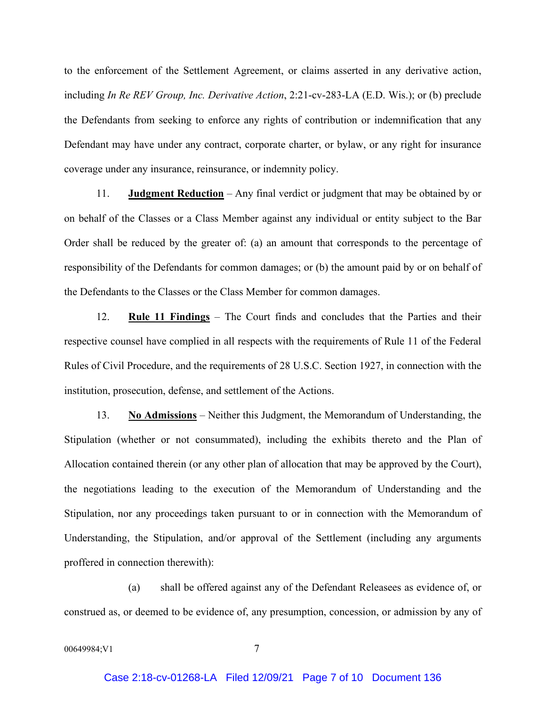to the enforcement of the Settlement Agreement, or claims asserted in any derivative action, including *In Re REV Group, Inc. Derivative Action*, 2:21-cv-283-LA (E.D. Wis.); or (b) preclude the Defendants from seeking to enforce any rights of contribution or indemnification that any Defendant may have under any contract, corporate charter, or bylaw, or any right for insurance coverage under any insurance, reinsurance, or indemnity policy.

11. **Judgment Reduction** – Any final verdict or judgment that may be obtained by or on behalf of the Classes or a Class Member against any individual or entity subject to the Bar Order shall be reduced by the greater of: (a) an amount that corresponds to the percentage of responsibility of the Defendants for common damages; or (b) the amount paid by or on behalf of the Defendants to the Classes or the Class Member for common damages.

12. **Rule 11 Findings** – The Court finds and concludes that the Parties and their respective counsel have complied in all respects with the requirements of Rule 11 of the Federal Rules of Civil Procedure, and the requirements of 28 U.S.C. Section 1927, in connection with the institution, prosecution, defense, and settlement of the Actions.

13. **No Admissions** – Neither this Judgment, the Memorandum of Understanding, the Stipulation (whether or not consummated), including the exhibits thereto and the Plan of Allocation contained therein (or any other plan of allocation that may be approved by the Court), the negotiations leading to the execution of the Memorandum of Understanding and the Stipulation, nor any proceedings taken pursuant to or in connection with the Memorandum of Understanding, the Stipulation, and/or approval of the Settlement (including any arguments proffered in connection therewith):

(a) shall be offered against any of the Defendant Releasees as evidence of, or construed as, or deemed to be evidence of, any presumption, concession, or admission by any of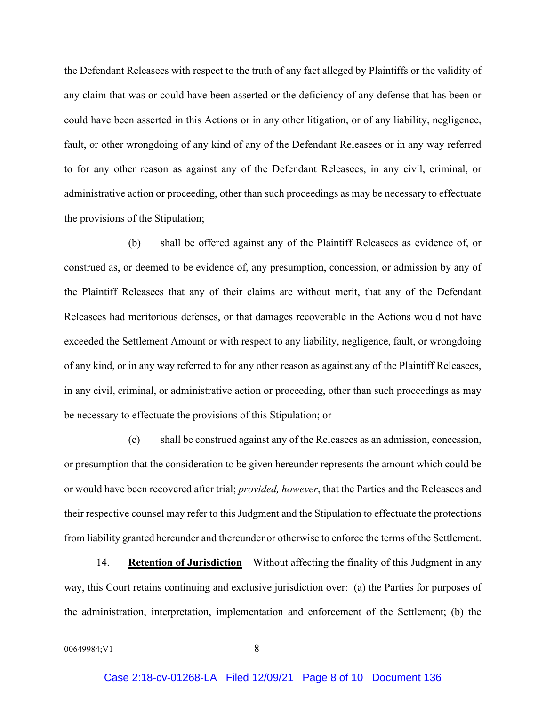the Defendant Releasees with respect to the truth of any fact alleged by Plaintiffs or the validity of any claim that was or could have been asserted or the deficiency of any defense that has been or could have been asserted in this Actions or in any other litigation, or of any liability, negligence, fault, or other wrongdoing of any kind of any of the Defendant Releasees or in any way referred to for any other reason as against any of the Defendant Releasees, in any civil, criminal, or administrative action or proceeding, other than such proceedings as may be necessary to effectuate the provisions of the Stipulation;

(b) shall be offered against any of the Plaintiff Releasees as evidence of, or construed as, or deemed to be evidence of, any presumption, concession, or admission by any of the Plaintiff Releasees that any of their claims are without merit, that any of the Defendant Releasees had meritorious defenses, or that damages recoverable in the Actions would not have exceeded the Settlement Amount or with respect to any liability, negligence, fault, or wrongdoing of any kind, or in any way referred to for any other reason as against any of the Plaintiff Releasees, in any civil, criminal, or administrative action or proceeding, other than such proceedings as may be necessary to effectuate the provisions of this Stipulation; or

(c) shall be construed against any of the Releasees as an admission, concession, or presumption that the consideration to be given hereunder represents the amount which could be or would have been recovered after trial; *provided, however*, that the Parties and the Releasees and their respective counsel may refer to this Judgment and the Stipulation to effectuate the protections from liability granted hereunder and thereunder or otherwise to enforce the terms of the Settlement.

14. **Retention of Jurisdiction** – Without affecting the finality of this Judgment in any way, this Court retains continuing and exclusive jurisdiction over: (a) the Parties for purposes of the administration, interpretation, implementation and enforcement of the Settlement; (b) the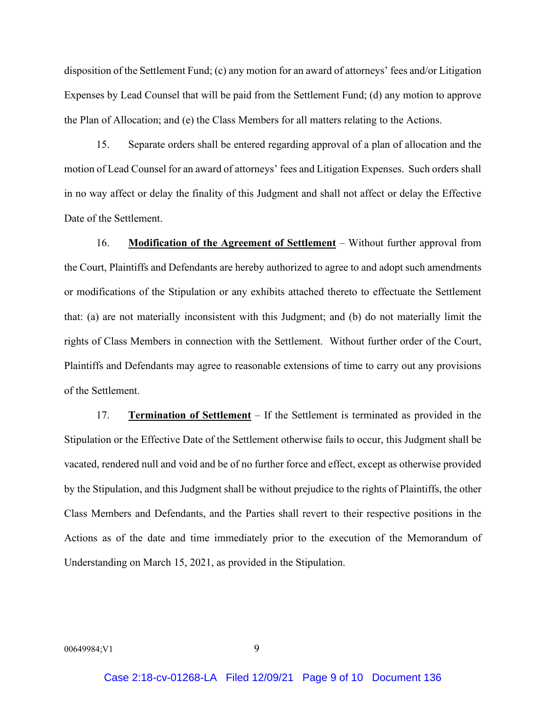disposition of the Settlement Fund; (c) any motion for an award of attorneys' fees and/or Litigation Expenses by Lead Counsel that will be paid from the Settlement Fund; (d) any motion to approve the Plan of Allocation; and (e) the Class Members for all matters relating to the Actions.

15. Separate orders shall be entered regarding approval of a plan of allocation and the motion of Lead Counsel for an award of attorneys' fees and Litigation Expenses. Such orders shall in no way affect or delay the finality of this Judgment and shall not affect or delay the Effective Date of the Settlement.

16. **Modification of the Agreement of Settlement** – Without further approval from the Court, Plaintiffs and Defendants are hereby authorized to agree to and adopt such amendments or modifications of the Stipulation or any exhibits attached thereto to effectuate the Settlement that: (a) are not materially inconsistent with this Judgment; and (b) do not materially limit the rights of Class Members in connection with the Settlement. Without further order of the Court, Plaintiffs and Defendants may agree to reasonable extensions of time to carry out any provisions of the Settlement.

17. **Termination of Settlement** – If the Settlement is terminated as provided in the Stipulation or the Effective Date of the Settlement otherwise fails to occur, this Judgment shall be vacated, rendered null and void and be of no further force and effect, except as otherwise provided by the Stipulation, and this Judgment shall be without prejudice to the rights of Plaintiffs, the other Class Members and Defendants, and the Parties shall revert to their respective positions in the Actions as of the date and time immediately prior to the execution of the Memorandum of Understanding on March 15, 2021, as provided in the Stipulation.